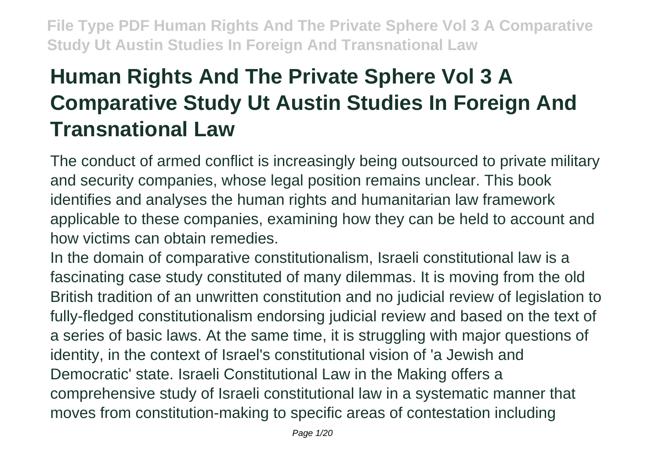# **Human Rights And The Private Sphere Vol 3 A Comparative Study Ut Austin Studies In Foreign And Transnational Law**

The conduct of armed conflict is increasingly being outsourced to private military and security companies, whose legal position remains unclear. This book identifies and analyses the human rights and humanitarian law framework applicable to these companies, examining how they can be held to account and how victims can obtain remedies.

In the domain of comparative constitutionalism, Israeli constitutional law is a fascinating case study constituted of many dilemmas. It is moving from the old British tradition of an unwritten constitution and no judicial review of legislation to fully-fledged constitutionalism endorsing judicial review and based on the text of a series of basic laws. At the same time, it is struggling with major questions of identity, in the context of Israel's constitutional vision of 'a Jewish and Democratic' state. Israeli Constitutional Law in the Making offers a comprehensive study of Israeli constitutional law in a systematic manner that moves from constitution-making to specific areas of contestation including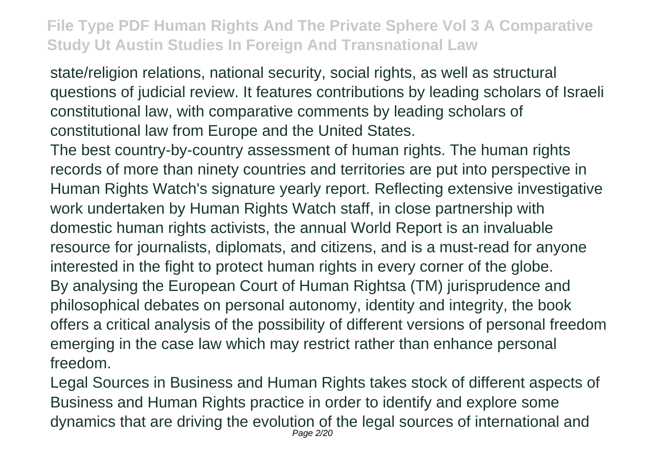state/religion relations, national security, social rights, as well as structural questions of judicial review. It features contributions by leading scholars of Israeli constitutional law, with comparative comments by leading scholars of constitutional law from Europe and the United States.

The best country-by-country assessment of human rights. The human rights records of more than ninety countries and territories are put into perspective in Human Rights Watch's signature yearly report. Reflecting extensive investigative work undertaken by Human Rights Watch staff, in close partnership with domestic human rights activists, the annual World Report is an invaluable resource for journalists, diplomats, and citizens, and is a must-read for anyone interested in the fight to protect human rights in every corner of the globe. By analysing the European Court of Human Rightsa (TM) jurisprudence and philosophical debates on personal autonomy, identity and integrity, the book offers a critical analysis of the possibility of different versions of personal freedom emerging in the case law which may restrict rather than enhance personal freedom.

Legal Sources in Business and Human Rights takes stock of different aspects of Business and Human Rights practice in order to identify and explore some dynamics that are driving the evolution of the legal sources of international and Page 2/20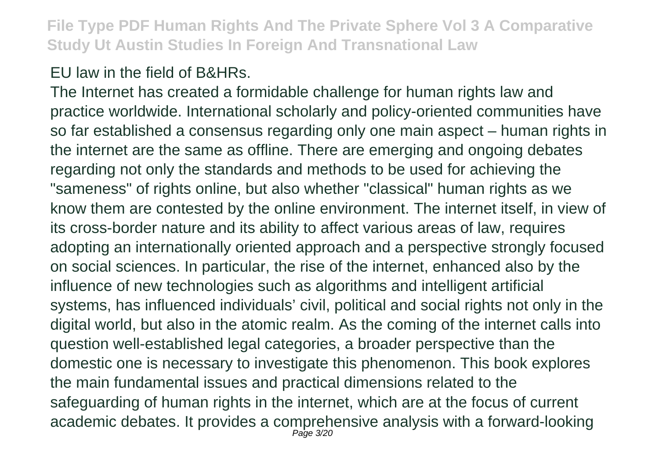### EU law in the field of B&HRs.

The Internet has created a formidable challenge for human rights law and practice worldwide. International scholarly and policy-oriented communities have so far established a consensus regarding only one main aspect – human rights in the internet are the same as offline. There are emerging and ongoing debates regarding not only the standards and methods to be used for achieving the "sameness" of rights online, but also whether "classical" human rights as we know them are contested by the online environment. The internet itself, in view of its cross-border nature and its ability to affect various areas of law, requires adopting an internationally oriented approach and a perspective strongly focused on social sciences. In particular, the rise of the internet, enhanced also by the influence of new technologies such as algorithms and intelligent artificial systems, has influenced individuals' civil, political and social rights not only in the digital world, but also in the atomic realm. As the coming of the internet calls into question well-established legal categories, a broader perspective than the domestic one is necessary to investigate this phenomenon. This book explores the main fundamental issues and practical dimensions related to the safeguarding of human rights in the internet, which are at the focus of current academic debates. It provides a comprehensive analysis with a forward-looking Page 3/20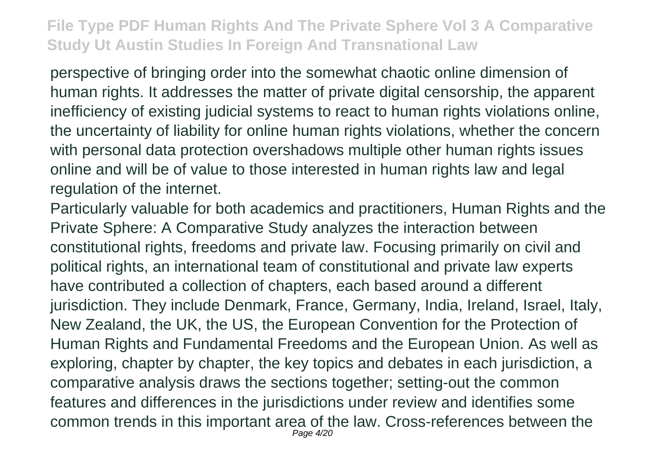perspective of bringing order into the somewhat chaotic online dimension of human rights. It addresses the matter of private digital censorship, the apparent inefficiency of existing judicial systems to react to human rights violations online, the uncertainty of liability for online human rights violations, whether the concern with personal data protection overshadows multiple other human rights issues online and will be of value to those interested in human rights law and legal regulation of the internet.

Particularly valuable for both academics and practitioners, Human Rights and the Private Sphere: A Comparative Study analyzes the interaction between constitutional rights, freedoms and private law. Focusing primarily on civil and political rights, an international team of constitutional and private law experts have contributed a collection of chapters, each based around a different jurisdiction. They include Denmark, France, Germany, India, Ireland, Israel, Italy, New Zealand, the UK, the US, the European Convention for the Protection of Human Rights and Fundamental Freedoms and the European Union. As well as exploring, chapter by chapter, the key topics and debates in each jurisdiction, a comparative analysis draws the sections together; setting-out the common features and differences in the jurisdictions under review and identifies some common trends in this important area of the law. Cross-references between the Page 4/20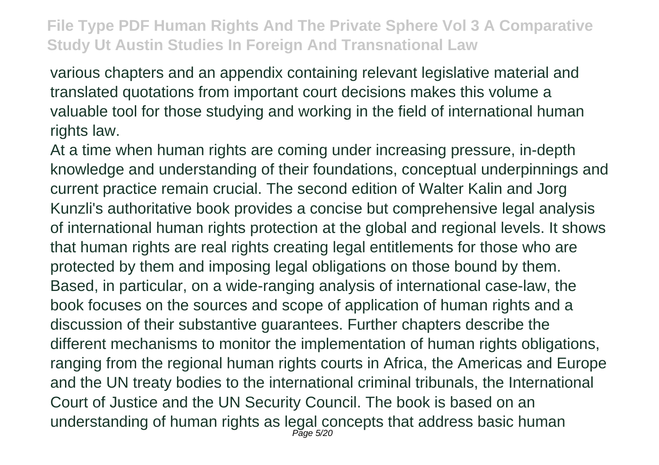various chapters and an appendix containing relevant legislative material and translated quotations from important court decisions makes this volume a valuable tool for those studying and working in the field of international human rights law.

At a time when human rights are coming under increasing pressure, in-depth knowledge and understanding of their foundations, conceptual underpinnings and current practice remain crucial. The second edition of Walter Kalin and Jorg Kunzli's authoritative book provides a concise but comprehensive legal analysis of international human rights protection at the global and regional levels. It shows that human rights are real rights creating legal entitlements for those who are protected by them and imposing legal obligations on those bound by them. Based, in particular, on a wide-ranging analysis of international case-law, the book focuses on the sources and scope of application of human rights and a discussion of their substantive guarantees. Further chapters describe the different mechanisms to monitor the implementation of human rights obligations, ranging from the regional human rights courts in Africa, the Americas and Europe and the UN treaty bodies to the international criminal tribunals, the International Court of Justice and the UN Security Council. The book is based on an understanding of human rights as legal concepts that address basic human<br>
Page 5/20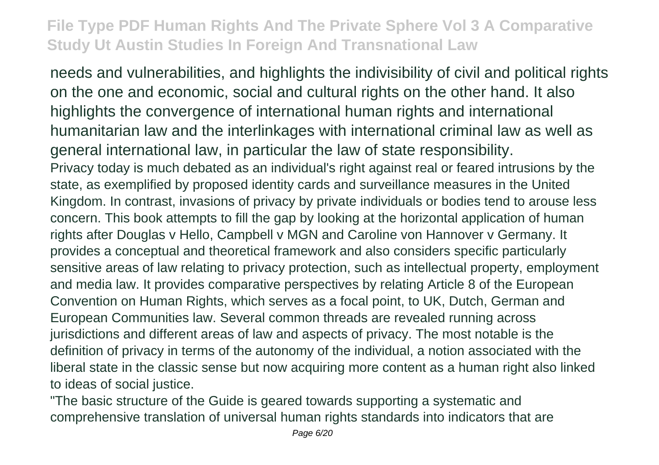needs and vulnerabilities, and highlights the indivisibility of civil and political rights on the one and economic, social and cultural rights on the other hand. It also highlights the convergence of international human rights and international humanitarian law and the interlinkages with international criminal law as well as general international law, in particular the law of state responsibility. Privacy today is much debated as an individual's right against real or feared intrusions by the state, as exemplified by proposed identity cards and surveillance measures in the United Kingdom. In contrast, invasions of privacy by private individuals or bodies tend to arouse less concern. This book attempts to fill the gap by looking at the horizontal application of human rights after Douglas v Hello, Campbell v MGN and Caroline von Hannover v Germany. It provides a conceptual and theoretical framework and also considers specific particularly sensitive areas of law relating to privacy protection, such as intellectual property, employment and media law. It provides comparative perspectives by relating Article 8 of the European Convention on Human Rights, which serves as a focal point, to UK, Dutch, German and European Communities law. Several common threads are revealed running across jurisdictions and different areas of law and aspects of privacy. The most notable is the definition of privacy in terms of the autonomy of the individual, a notion associated with the liberal state in the classic sense but now acquiring more content as a human right also linked to ideas of social justice.

"The basic structure of the Guide is geared towards supporting a systematic and comprehensive translation of universal human rights standards into indicators that are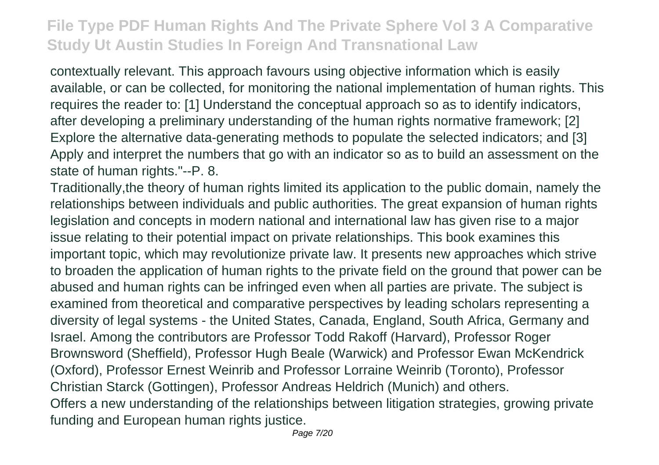contextually relevant. This approach favours using objective information which is easily available, or can be collected, for monitoring the national implementation of human rights. This requires the reader to: [1] Understand the conceptual approach so as to identify indicators, after developing a preliminary understanding of the human rights normative framework; [2] Explore the alternative data-generating methods to populate the selected indicators; and [3] Apply and interpret the numbers that go with an indicator so as to build an assessment on the state of human rights."--P. 8.

Traditionally,the theory of human rights limited its application to the public domain, namely the relationships between individuals and public authorities. The great expansion of human rights legislation and concepts in modern national and international law has given rise to a major issue relating to their potential impact on private relationships. This book examines this important topic, which may revolutionize private law. It presents new approaches which strive to broaden the application of human rights to the private field on the ground that power can be abused and human rights can be infringed even when all parties are private. The subject is examined from theoretical and comparative perspectives by leading scholars representing a diversity of legal systems - the United States, Canada, England, South Africa, Germany and Israel. Among the contributors are Professor Todd Rakoff (Harvard), Professor Roger Brownsword (Sheffield), Professor Hugh Beale (Warwick) and Professor Ewan McKendrick (Oxford), Professor Ernest Weinrib and Professor Lorraine Weinrib (Toronto), Professor Christian Starck (Gottingen), Professor Andreas Heldrich (Munich) and others. Offers a new understanding of the relationships between litigation strategies, growing private funding and European human rights justice.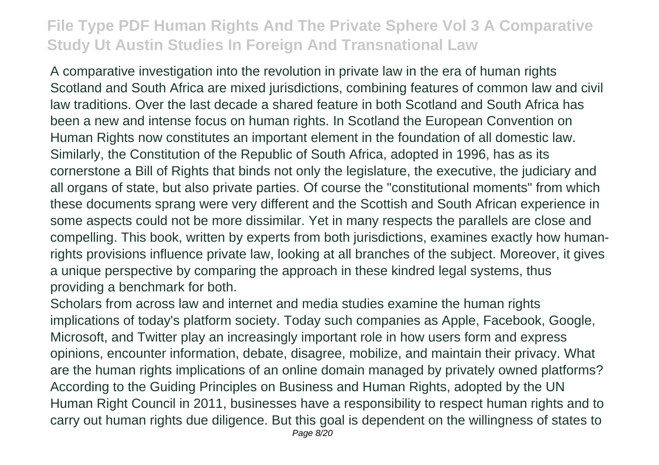A comparative investigation into the revolution in private law in the era of human rights Scotland and South Africa are mixed jurisdictions, combining features of common law and civil law traditions. Over the last decade a shared feature in both Scotland and South Africa has been a new and intense focus on human rights. In Scotland the European Convention on Human Rights now constitutes an important element in the foundation of all domestic law. Similarly, the Constitution of the Republic of South Africa, adopted in 1996, has as its cornerstone a Bill of Rights that binds not only the legislature, the executive, the judiciary and all organs of state, but also private parties. Of course the "constitutional moments" from which these documents sprang were very different and the Scottish and South African experience in some aspects could not be more dissimilar. Yet in many respects the parallels are close and compelling. This book, written by experts from both jurisdictions, examines exactly how humanrights provisions influence private law, looking at all branches of the subject. Moreover, it gives a unique perspective by comparing the approach in these kindred legal systems, thus providing a benchmark for both.

Scholars from across law and internet and media studies examine the human rights implications of today's platform society. Today such companies as Apple, Facebook, Google, Microsoft, and Twitter play an increasingly important role in how users form and express opinions, encounter information, debate, disagree, mobilize, and maintain their privacy. What are the human rights implications of an online domain managed by privately owned platforms? According to the Guiding Principles on Business and Human Rights, adopted by the UN Human Right Council in 2011, businesses have a responsibility to respect human rights and to carry out human rights due diligence. But this goal is dependent on the willingness of states to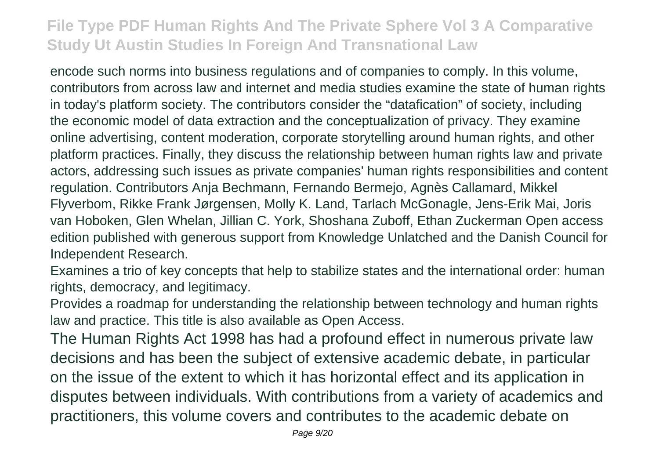encode such norms into business regulations and of companies to comply. In this volume, contributors from across law and internet and media studies examine the state of human rights in today's platform society. The contributors consider the "datafication" of society, including the economic model of data extraction and the conceptualization of privacy. They examine online advertising, content moderation, corporate storytelling around human rights, and other platform practices. Finally, they discuss the relationship between human rights law and private actors, addressing such issues as private companies' human rights responsibilities and content regulation. Contributors Anja Bechmann, Fernando Bermejo, Agnès Callamard, Mikkel Flyverbom, Rikke Frank Jørgensen, Molly K. Land, Tarlach McGonagle, Jens-Erik Mai, Joris van Hoboken, Glen Whelan, Jillian C. York, Shoshana Zuboff, Ethan Zuckerman Open access edition published with generous support from Knowledge Unlatched and the Danish Council for Independent Research.

Examines a trio of key concepts that help to stabilize states and the international order: human rights, democracy, and legitimacy.

Provides a roadmap for understanding the relationship between technology and human rights law and practice. This title is also available as Open Access.

The Human Rights Act 1998 has had a profound effect in numerous private law decisions and has been the subject of extensive academic debate, in particular on the issue of the extent to which it has horizontal effect and its application in disputes between individuals. With contributions from a variety of academics and practitioners, this volume covers and contributes to the academic debate on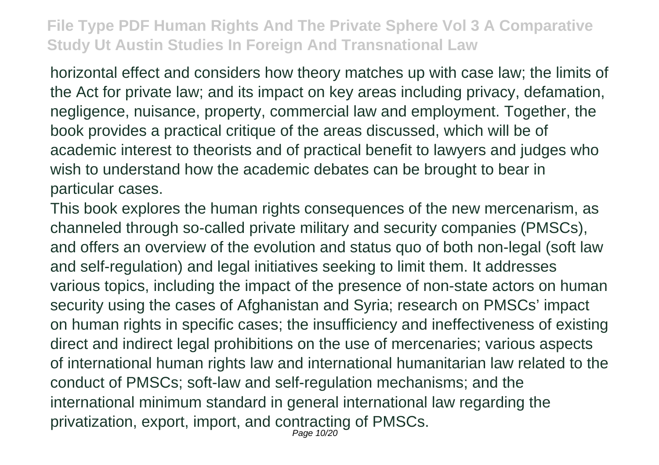horizontal effect and considers how theory matches up with case law; the limits of the Act for private law; and its impact on key areas including privacy, defamation, negligence, nuisance, property, commercial law and employment. Together, the book provides a practical critique of the areas discussed, which will be of academic interest to theorists and of practical benefit to lawyers and judges who wish to understand how the academic debates can be brought to bear in particular cases.

This book explores the human rights consequences of the new mercenarism, as channeled through so-called private military and security companies (PMSCs), and offers an overview of the evolution and status quo of both non-legal (soft law and self-regulation) and legal initiatives seeking to limit them. It addresses various topics, including the impact of the presence of non-state actors on human security using the cases of Afghanistan and Syria; research on PMSCs' impact on human rights in specific cases; the insufficiency and ineffectiveness of existing direct and indirect legal prohibitions on the use of mercenaries; various aspects of international human rights law and international humanitarian law related to the conduct of PMSCs; soft-law and self-regulation mechanisms; and the international minimum standard in general international law regarding the privatization, export, import, and contracting of PMSCs. Page 10/20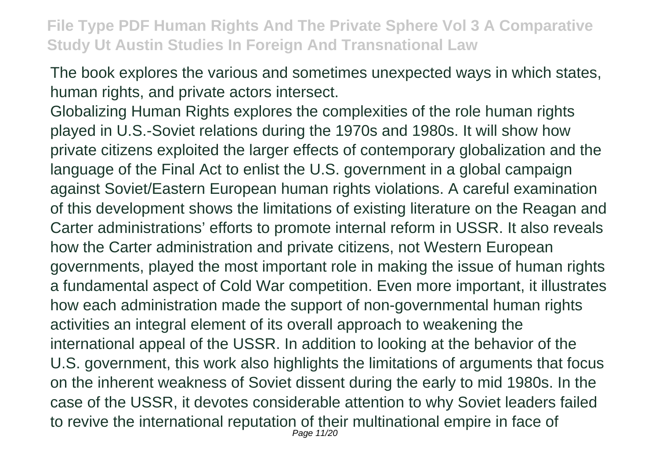The book explores the various and sometimes unexpected ways in which states, human rights, and private actors intersect.

Globalizing Human Rights explores the complexities of the role human rights played in U.S.-Soviet relations during the 1970s and 1980s. It will show how private citizens exploited the larger effects of contemporary globalization and the language of the Final Act to enlist the U.S. government in a global campaign against Soviet/Eastern European human rights violations. A careful examination of this development shows the limitations of existing literature on the Reagan and Carter administrations' efforts to promote internal reform in USSR. It also reveals how the Carter administration and private citizens, not Western European governments, played the most important role in making the issue of human rights a fundamental aspect of Cold War competition. Even more important, it illustrates how each administration made the support of non-governmental human rights activities an integral element of its overall approach to weakening the international appeal of the USSR. In addition to looking at the behavior of the U.S. government, this work also highlights the limitations of arguments that focus on the inherent weakness of Soviet dissent during the early to mid 1980s. In the case of the USSR, it devotes considerable attention to why Soviet leaders failed to revive the international reputation of their multinational empire in face of Page 11/20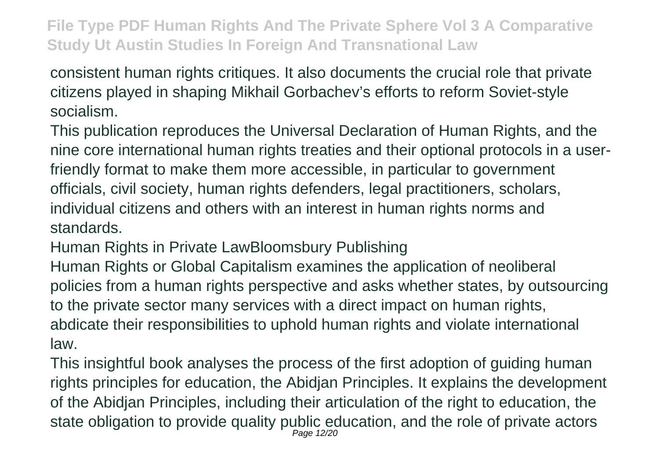consistent human rights critiques. It also documents the crucial role that private citizens played in shaping Mikhail Gorbachev's efforts to reform Soviet-style socialism.

This publication reproduces the Universal Declaration of Human Rights, and the nine core international human rights treaties and their optional protocols in a userfriendly format to make them more accessible, in particular to government officials, civil society, human rights defenders, legal practitioners, scholars, individual citizens and others with an interest in human rights norms and standards.

Human Rights in Private LawBloomsbury Publishing

Human Rights or Global Capitalism examines the application of neoliberal policies from a human rights perspective and asks whether states, by outsourcing to the private sector many services with a direct impact on human rights, abdicate their responsibilities to uphold human rights and violate international law.

This insightful book analyses the process of the first adoption of guiding human rights principles for education, the Abidjan Principles. It explains the development of the Abidjan Principles, including their articulation of the right to education, the state obligation to provide quality public education, and the role of private actors Page 12/20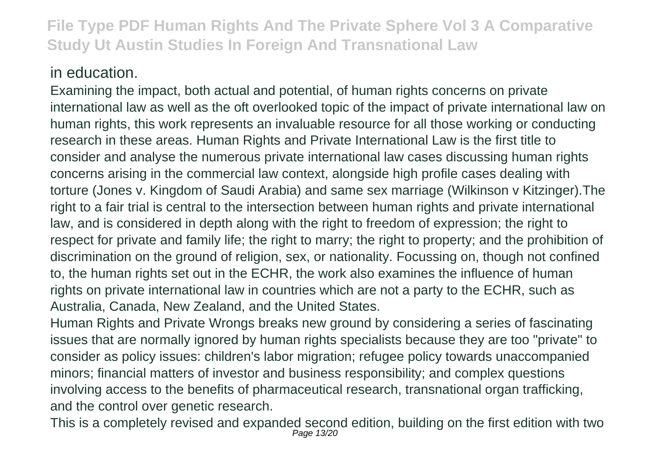#### in education.

Examining the impact, both actual and potential, of human rights concerns on private international law as well as the oft overlooked topic of the impact of private international law on human rights, this work represents an invaluable resource for all those working or conducting research in these areas. Human Rights and Private International Law is the first title to consider and analyse the numerous private international law cases discussing human rights concerns arising in the commercial law context, alongside high profile cases dealing with torture (Jones v. Kingdom of Saudi Arabia) and same sex marriage (Wilkinson v Kitzinger).The right to a fair trial is central to the intersection between human rights and private international law, and is considered in depth along with the right to freedom of expression; the right to respect for private and family life; the right to marry; the right to property; and the prohibition of discrimination on the ground of religion, sex, or nationality. Focussing on, though not confined to, the human rights set out in the ECHR, the work also examines the influence of human rights on private international law in countries which are not a party to the ECHR, such as Australia, Canada, New Zealand, and the United States.

Human Rights and Private Wrongs breaks new ground by considering a series of fascinating issues that are normally ignored by human rights specialists because they are too "private" to consider as policy issues: children's labor migration; refugee policy towards unaccompanied minors; financial matters of investor and business responsibility; and complex questions involving access to the benefits of pharmaceutical research, transnational organ trafficking, and the control over genetic research.

This is a completely revised and expanded second edition, building on the first edition with two<br> $P_{age}$  13/20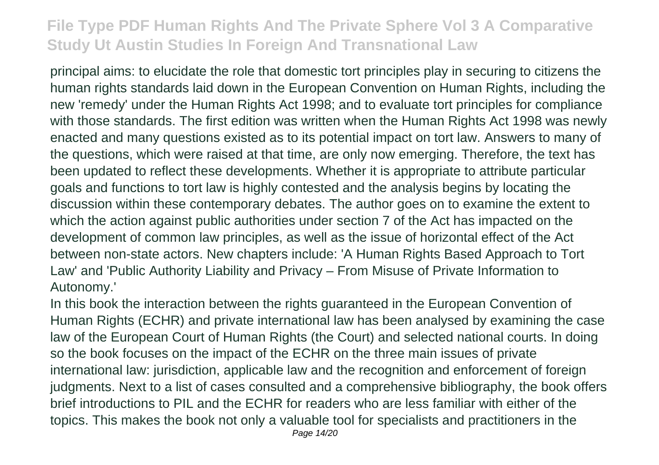principal aims: to elucidate the role that domestic tort principles play in securing to citizens the human rights standards laid down in the European Convention on Human Rights, including the new 'remedy' under the Human Rights Act 1998; and to evaluate tort principles for compliance with those standards. The first edition was written when the Human Rights Act 1998 was newly enacted and many questions existed as to its potential impact on tort law. Answers to many of the questions, which were raised at that time, are only now emerging. Therefore, the text has been updated to reflect these developments. Whether it is appropriate to attribute particular goals and functions to tort law is highly contested and the analysis begins by locating the discussion within these contemporary debates. The author goes on to examine the extent to which the action against public authorities under section 7 of the Act has impacted on the development of common law principles, as well as the issue of horizontal effect of the Act between non-state actors. New chapters include: 'A Human Rights Based Approach to Tort Law' and 'Public Authority Liability and Privacy – From Misuse of Private Information to Autonomy.'

In this book the interaction between the rights guaranteed in the European Convention of Human Rights (ECHR) and private international law has been analysed by examining the case law of the European Court of Human Rights (the Court) and selected national courts. In doing so the book focuses on the impact of the ECHR on the three main issues of private international law: jurisdiction, applicable law and the recognition and enforcement of foreign judgments. Next to a list of cases consulted and a comprehensive bibliography, the book offers brief introductions to PIL and the ECHR for readers who are less familiar with either of the topics. This makes the book not only a valuable tool for specialists and practitioners in the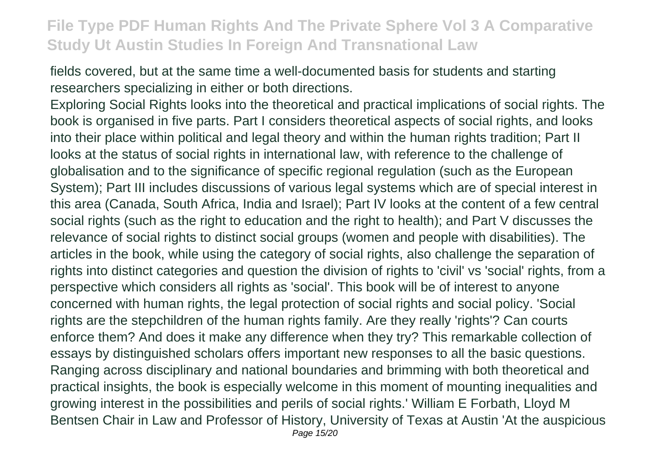fields covered, but at the same time a well-documented basis for students and starting researchers specializing in either or both directions.

Exploring Social Rights looks into the theoretical and practical implications of social rights. The book is organised in five parts. Part I considers theoretical aspects of social rights, and looks into their place within political and legal theory and within the human rights tradition; Part II looks at the status of social rights in international law, with reference to the challenge of globalisation and to the significance of specific regional regulation (such as the European System); Part III includes discussions of various legal systems which are of special interest in this area (Canada, South Africa, India and Israel); Part IV looks at the content of a few central social rights (such as the right to education and the right to health); and Part V discusses the relevance of social rights to distinct social groups (women and people with disabilities). The articles in the book, while using the category of social rights, also challenge the separation of rights into distinct categories and question the division of rights to 'civil' vs 'social' rights, from a perspective which considers all rights as 'social'. This book will be of interest to anyone concerned with human rights, the legal protection of social rights and social policy. 'Social rights are the stepchildren of the human rights family. Are they really 'rights'? Can courts enforce them? And does it make any difference when they try? This remarkable collection of essays by distinguished scholars offers important new responses to all the basic questions. Ranging across disciplinary and national boundaries and brimming with both theoretical and practical insights, the book is especially welcome in this moment of mounting inequalities and growing interest in the possibilities and perils of social rights.' William E Forbath, Lloyd M Bentsen Chair in Law and Professor of History, University of Texas at Austin 'At the auspicious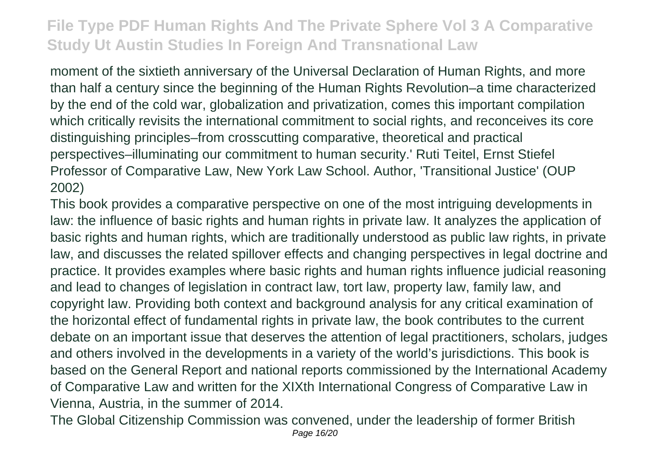moment of the sixtieth anniversary of the Universal Declaration of Human Rights, and more than half a century since the beginning of the Human Rights Revolution–a time characterized by the end of the cold war, globalization and privatization, comes this important compilation which critically revisits the international commitment to social rights, and reconceives its core distinguishing principles–from crosscutting comparative, theoretical and practical perspectives–illuminating our commitment to human security.' Ruti Teitel, Ernst Stiefel Professor of Comparative Law, New York Law School. Author, 'Transitional Justice' (OUP 2002)

This book provides a comparative perspective on one of the most intriguing developments in law: the influence of basic rights and human rights in private law. It analyzes the application of basic rights and human rights, which are traditionally understood as public law rights, in private law, and discusses the related spillover effects and changing perspectives in legal doctrine and practice. It provides examples where basic rights and human rights influence judicial reasoning and lead to changes of legislation in contract law, tort law, property law, family law, and copyright law. Providing both context and background analysis for any critical examination of the horizontal effect of fundamental rights in private law, the book contributes to the current debate on an important issue that deserves the attention of legal practitioners, scholars, judges and others involved in the developments in a variety of the world's jurisdictions. This book is based on the General Report and national reports commissioned by the International Academy of Comparative Law and written for the XIXth International Congress of Comparative Law in Vienna, Austria, in the summer of 2014.

The Global Citizenship Commission was convened, under the leadership of former British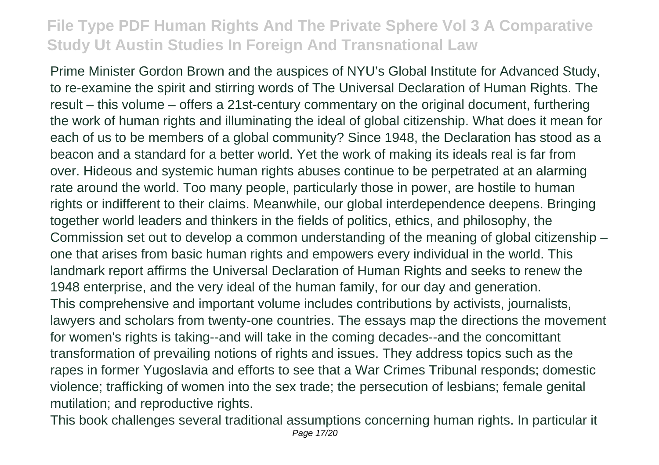Prime Minister Gordon Brown and the auspices of NYU's Global Institute for Advanced Study, to re-examine the spirit and stirring words of The Universal Declaration of Human Rights. The result – this volume – offers a 21st-century commentary on the original document, furthering the work of human rights and illuminating the ideal of global citizenship. What does it mean for each of us to be members of a global community? Since 1948, the Declaration has stood as a beacon and a standard for a better world. Yet the work of making its ideals real is far from over. Hideous and systemic human rights abuses continue to be perpetrated at an alarming rate around the world. Too many people, particularly those in power, are hostile to human rights or indifferent to their claims. Meanwhile, our global interdependence deepens. Bringing together world leaders and thinkers in the fields of politics, ethics, and philosophy, the Commission set out to develop a common understanding of the meaning of global citizenship – one that arises from basic human rights and empowers every individual in the world. This landmark report affirms the Universal Declaration of Human Rights and seeks to renew the 1948 enterprise, and the very ideal of the human family, for our day and generation. This comprehensive and important volume includes contributions by activists, journalists, lawyers and scholars from twenty-one countries. The essays map the directions the movement for women's rights is taking--and will take in the coming decades--and the concomittant transformation of prevailing notions of rights and issues. They address topics such as the rapes in former Yugoslavia and efforts to see that a War Crimes Tribunal responds; domestic violence; trafficking of women into the sex trade; the persecution of lesbians; female genital mutilation; and reproductive rights.

This book challenges several traditional assumptions concerning human rights. In particular it Page 17/20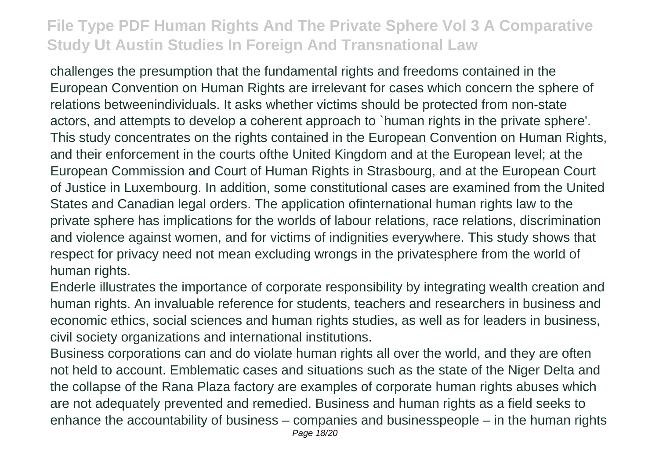challenges the presumption that the fundamental rights and freedoms contained in the European Convention on Human Rights are irrelevant for cases which concern the sphere of relations betweenindividuals. It asks whether victims should be protected from non-state actors, and attempts to develop a coherent approach to `human rights in the private sphere'. This study concentrates on the rights contained in the European Convention on Human Rights, and their enforcement in the courts ofthe United Kingdom and at the European level; at the European Commission and Court of Human Rights in Strasbourg, and at the European Court of Justice in Luxembourg. In addition, some constitutional cases are examined from the United States and Canadian legal orders. The application ofinternational human rights law to the private sphere has implications for the worlds of labour relations, race relations, discrimination and violence against women, and for victims of indignities everywhere. This study shows that respect for privacy need not mean excluding wrongs in the privatesphere from the world of human rights.

Enderle illustrates the importance of corporate responsibility by integrating wealth creation and human rights. An invaluable reference for students, teachers and researchers in business and economic ethics, social sciences and human rights studies, as well as for leaders in business, civil society organizations and international institutions.

Business corporations can and do violate human rights all over the world, and they are often not held to account. Emblematic cases and situations such as the state of the Niger Delta and the collapse of the Rana Plaza factory are examples of corporate human rights abuses which are not adequately prevented and remedied. Business and human rights as a field seeks to enhance the accountability of business – companies and businesspeople – in the human rights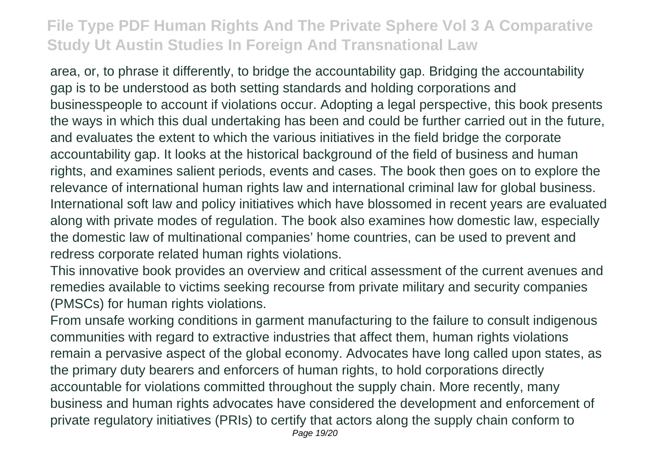area, or, to phrase it differently, to bridge the accountability gap. Bridging the accountability gap is to be understood as both setting standards and holding corporations and businesspeople to account if violations occur. Adopting a legal perspective, this book presents the ways in which this dual undertaking has been and could be further carried out in the future, and evaluates the extent to which the various initiatives in the field bridge the corporate accountability gap. It looks at the historical background of the field of business and human rights, and examines salient periods, events and cases. The book then goes on to explore the relevance of international human rights law and international criminal law for global business. International soft law and policy initiatives which have blossomed in recent years are evaluated along with private modes of regulation. The book also examines how domestic law, especially the domestic law of multinational companies' home countries, can be used to prevent and redress corporate related human rights violations.

This innovative book provides an overview and critical assessment of the current avenues and remedies available to victims seeking recourse from private military and security companies (PMSCs) for human rights violations.

From unsafe working conditions in garment manufacturing to the failure to consult indigenous communities with regard to extractive industries that affect them, human rights violations remain a pervasive aspect of the global economy. Advocates have long called upon states, as the primary duty bearers and enforcers of human rights, to hold corporations directly accountable for violations committed throughout the supply chain. More recently, many business and human rights advocates have considered the development and enforcement of private regulatory initiatives (PRIs) to certify that actors along the supply chain conform to Page 19/20